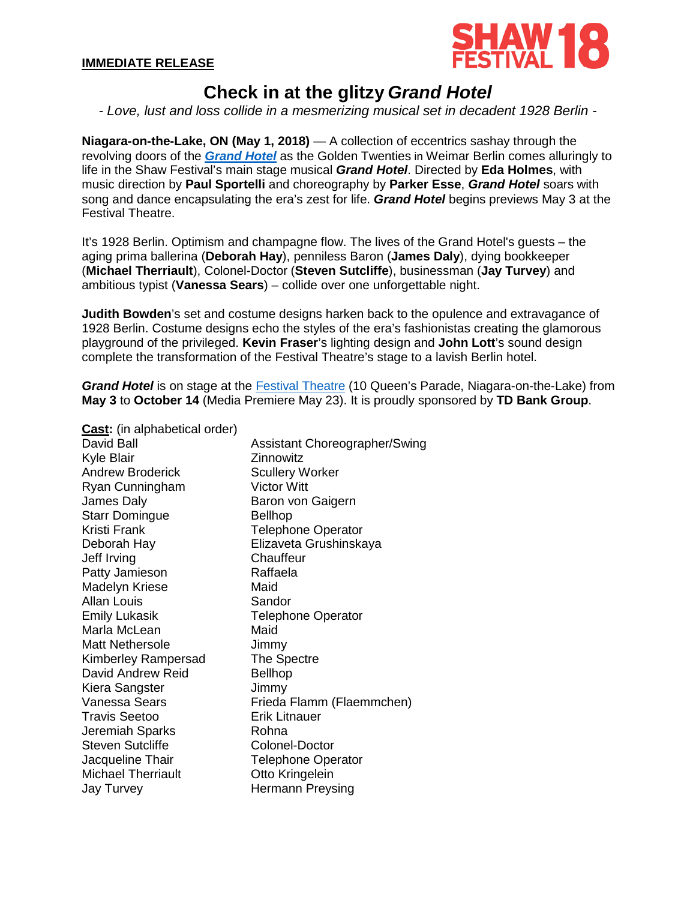

# **Check in at the glitzy** *Grand Hotel*

*- Love, lust and loss collide in a mesmerizing musical set in decadent 1928 Berlin -*

**Niagara-on-the-Lake, ON (May 1, 2018)** — A collection of eccentrics sashay through the revolving doors of the *[Grand Hotel](https://www.shawfest.com/playbill/grand-hotel/)* as the Golden Twenties in Weimar Berlin comes alluringly to life in the Shaw Festival's main stage musical *Grand Hotel*. Directed by **Eda Holmes**, with music direction by **Paul Sportelli** and choreography by **Parker Esse**, *Grand Hotel* soars with song and dance encapsulating the era's zest for life. *Grand Hotel* begins previews May 3 at the Festival Theatre.

It's 1928 Berlin. Optimism and champagne flow. The lives of the Grand Hotel's guests – the aging prima ballerina (**Deborah Hay**), penniless Baron (**James Daly**), dying bookkeeper (**Michael Therriault**), Colonel-Doctor (**Steven Sutcliffe**), businessman (**Jay Turvey**) and ambitious typist (**Vanessa Sears**) – collide over one unforgettable night.

**Judith Bowden**'s set and costume designs harken back to the opulence and extravagance of 1928 Berlin. Costume designs echo the styles of the era's fashionistas creating the glamorous playground of the privileged. **Kevin Fraser**'s lighting design and **John Lott**'s sound design complete the transformation of the Festival Theatre's stage to a lavish Berlin hotel.

*Grand Hotel* is on stage at the [Festival Theatre](http://www.shawfest.com/visit/theatres/#festival-theatre) (10 Queen's Parade, Niagara-on-the-Lake) from **May 3** to **October 14** (Media Premiere May 23). It is proudly sponsored by **TD Bank Group**.

**Cast:** (in alphabetical order)

David Ball Kyle Blair Andrew Broderick Ryan Cunningham James Daly Starr Domingue Kristi Frank Deborah Hay Jeff Irving Patty Jamieson Madelyn Kriese Allan Louis Emily Lukasik Marla McLean Matt Nethersole Kimberley Rampersad David Andrew Reid Kiera Sangster Vanessa Sears Travis Seetoo Jeremiah Sparks Steven Sutcliffe Jacqueline Thair Michael Therriault Jay Turvey Assistant Choreographer/Swing **Zinnowitz** Scullery Worker Victor Witt Baron von Gaigern Bellhop Telephone Operator Elizaveta Grushinskaya **Chauffeur** Raffaela Maid **Sandor** Telephone Operator Maid Jimmy The Spectre Bellhop Jimmy Frieda Flamm (Flaemmchen) Erik Litnauer Rohna Colonel-Doctor Telephone Operator Otto Kringelein Hermann Preysing